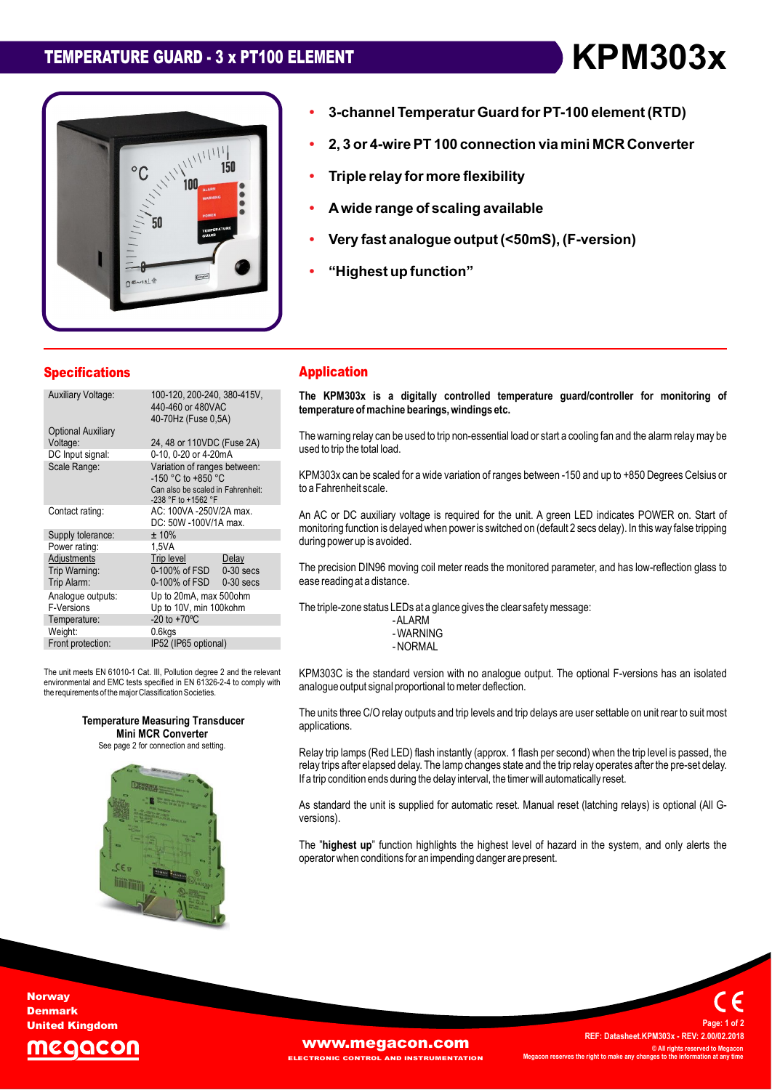# **TEMPERATURE GUARD - <sup>3</sup> <sup>x</sup> PT100 ELEMENT KPM303x**



# **Temperatur Guard forPT-100 element (RTD) 2, <sup>3</sup> or 4-wirePT <sup>100</sup> connection via mini MCR Converter ï**

- **Triple relay for more flexibility ï**
- **Triple ï**
- Triple relay for more flexibility<br>A wide range of scaling available **ï**
- A wide range of scaling available<br>Very fast analogue output (<50mS), (F-version) **ï**analogue output <mark>(<50</mark><br>up function" **analogue output (<50mS), F-version**
- "Highest up function"

| <b>Specifications</b>                                                           |                                                                                                                      | <b>Application</b>                                                                                                              |
|---------------------------------------------------------------------------------|----------------------------------------------------------------------------------------------------------------------|---------------------------------------------------------------------------------------------------------------------------------|
| <b>Auxiliary Voltage:</b>                                                       | 100-120, 200-240, 380-415V,<br>440-460 or 480VAC<br>40-70Hz (Fuse 0.5A)                                              | The KPM303x is a digitally<br>temperature of machine bearing                                                                    |
| <b>Optional Auxiliary</b><br>Voltage:<br>DC Input signal:<br>Scale Range:       | 24, 48 or 110VDC (Fuse 2A)<br>0-10, 0-20 or 4-20mA<br>Variation of ranges between:<br>$-150$ °C to $+850$ °C         | The warning relay can be used to t<br>used to trip the total load.<br>KPM303x can be scaled for a wide                          |
| Contact rating:<br>Supply tolerance:                                            | Can also be scaled in Fahrenheit:<br>-238 °F to +1562 °F<br>AC: 100VA -250V/2A max.<br>DC: 50W -100V/1A max.<br>±10% | to a Fahrenheit scale.<br>An AC or DC auxiliary voltage is<br>monitoring function is delayed whe<br>during power up is avoided. |
| Power rating:<br>Adjustments<br>Trip Warning:<br>Trip Alarm:                    | 1.5VA<br>Trip level<br>Delay<br>0-100% of FSD<br>$0-30$ secs<br>0-100% of FSD<br>$0-30$ secs                         | The precision DIN96 moving coil<br>ease reading at a distance.                                                                  |
| Analoque outputs:<br>F-Versions<br>Temperature:<br>Weight:<br>Front protection: | Up to 20mA, max 500ohm<br>Up to 10V, min 100kohm<br>$-20$ to $+70^{\circ}$ C<br>$0.6$ kgs<br>IP52 (IP65 optional)    | The triple-zone status LEDs at a gl<br>-ALARM<br>- WARNING<br>- NORMAL                                                          |
|                                                                                 |                                                                                                                      |                                                                                                                                 |

The unit meets EN 61010-1 Cat. III, Pollution degree 2 and the relevant KP<br>environmental and EMC tests specified in EN 61326-2-4 to comply with environmental and EMC tests specified in EN 61326-2-4 to comply with the requirements of the major Classification Societies.





#### **Application**

**ï**

**3-channel**

 **KPM303x is <sup>a</sup> digitally controlled temperature guard/controller for monitoring of temperature ofmachine bearings,windings etc.** temperature of machine bearings, windings etc.

temperature or macnine bearings, windings etc.<br>The warning relay can be used to trip non-essential load or start a cooling fan and the alarm relay may be<br>used to trip the total load.

used to trip trie total load.<br>KPM303x can be scaled for a wide variation of ranges between -150 and up to +850 Degrees Celsius or<br>to a Fahrenheit scale.

to a ramemmen scale.<br>An AC or DC auxiliary voltage is required for the unit. A green LED indicates POWER on. Start of<br>monitoring function is delaved when power is switched on (default 2 secs delay). In this way false tripp monitoring function is delayed when power is switched on (default 2 secs delay). In this way false tripping during power up is avoided.

during power up is avoided.<br>The precision DIN96 moving coil meter reads the monitored parameter, and has low-reflection glass to<br>ease reading at a distance.

treading at a distance.<br>triple-zone status LEDs at a glance gives the clear safety message:

-ALARM<br>-WARNING

is the standard version with no analogue output. The optional F-versions has an isolated analogue output signal proportional tometer deflection. The

analogue output signal proportional to meter deliection.<br>The units three C/O relav outputs and trip levels and trip delays are user settable on unit rear to suit most applications.

applications.<br>Relay trip lamps (Red LED) flash instantly (approx. 1 flash per second) when the trip level is passed, the<br>relay trips after elapsed delay. The lamp changes state and the trip relay operates after the pre-set relay trips after elapsed delay. The lamp changes state and the trip relay operates after the pre-set delay.<br>If a trip condition ends during the delay interval, the timer will automatically reset.

versions*)*. As standard the unit is supplied for automatic reset. Manual reset (latching relays) is optional (All G-

versions).<br>The "**highest up**" function highlights the highest level of hazard in the system, and only alerts the<br>operator when conditions for an impending danger are present.

**Norway Denmark** United Kingdom



 **Datasheet.KPM303x - REV: 2.00/02.2018 ©ALL BEEXIMELY IS A PREF: Datasheet.KPM303x - REV: 2.00/02.2018<br>© All rights reserved to Megacon C** All rights reserved to **M**<br>**right right right right <sup>1</sup> of <sup>2</sup>**

**Page:**

**REF:**

**WWW.Megacon.com AND INSTRUMENTATION**